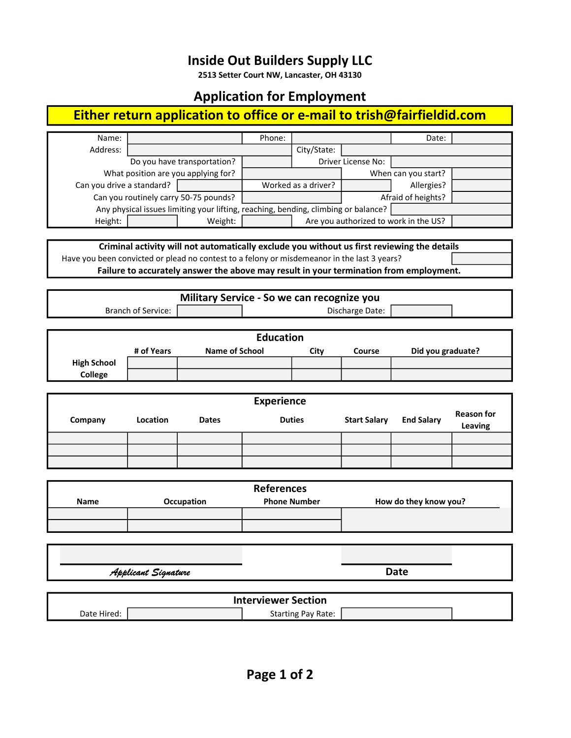### Inside Out Builders Supply LLC

2513 Setter Court NW, Lancaster, OH 43130

#### Application for Employment

# Either return application to office or e-mail to trish@fairfieldid.com

| Name:                                                                                       |                                     |                           | Phone:        |                     |                                       | Date:                 |                   |  |  |
|---------------------------------------------------------------------------------------------|-------------------------------------|---------------------------|---------------|---------------------|---------------------------------------|-----------------------|-------------------|--|--|
| Address:                                                                                    |                                     |                           |               | City/State:         |                                       |                       |                   |  |  |
|                                                                                             | Do you have transportation?         |                           |               |                     | Driver License No:                    |                       |                   |  |  |
|                                                                                             | What position are you applying for? |                           |               |                     |                                       | When can you start?   |                   |  |  |
| Can you drive a standard?                                                                   |                                     | Worked as a driver?       |               |                     | Allergies?                            |                       |                   |  |  |
| Can you routinely carry 50-75 pounds?                                                       |                                     |                           |               |                     |                                       | Afraid of heights?    |                   |  |  |
| Any physical issues limiting your lifting, reaching, bending, climbing or balance?          |                                     |                           |               |                     |                                       |                       |                   |  |  |
| Height:                                                                                     |                                     | Weight:                   |               |                     | Are you authorized to work in the US? |                       |                   |  |  |
|                                                                                             |                                     |                           |               |                     |                                       |                       |                   |  |  |
| Criminal activity will not automatically exclude you without us first reviewing the details |                                     |                           |               |                     |                                       |                       |                   |  |  |
| Have you been convicted or plead no contest to a felony or misdemeanor in the last 3 years? |                                     |                           |               |                     |                                       |                       |                   |  |  |
| Failure to accurately answer the above may result in your termination from employment.      |                                     |                           |               |                     |                                       |                       |                   |  |  |
|                                                                                             |                                     |                           |               |                     |                                       |                       |                   |  |  |
| Military Service - So we can recognize you                                                  |                                     |                           |               |                     |                                       |                       |                   |  |  |
| Discharge Date:<br><b>Branch of Service:</b>                                                |                                     |                           |               |                     |                                       |                       |                   |  |  |
|                                                                                             |                                     |                           |               |                     |                                       |                       |                   |  |  |
|                                                                                             |                                     |                           |               |                     |                                       |                       |                   |  |  |
| <b>Education</b><br><b>Name of School</b>                                                   |                                     |                           |               |                     |                                       |                       |                   |  |  |
|                                                                                             | # of Years                          |                           |               | City                | Course                                | Did you graduate?     |                   |  |  |
| <b>High School</b>                                                                          |                                     |                           |               |                     |                                       |                       |                   |  |  |
| College                                                                                     |                                     |                           |               |                     |                                       |                       |                   |  |  |
|                                                                                             |                                     |                           |               |                     |                                       |                       |                   |  |  |
| <b>Experience</b>                                                                           |                                     |                           |               |                     |                                       |                       |                   |  |  |
| Company                                                                                     | Location<br><b>Dates</b>            |                           | <b>Duties</b> |                     | <b>Start Salary</b>                   | <b>End Salary</b>     | <b>Reason for</b> |  |  |
|                                                                                             |                                     |                           |               |                     |                                       |                       | Leaving           |  |  |
|                                                                                             |                                     |                           |               |                     |                                       |                       |                   |  |  |
|                                                                                             |                                     |                           |               |                     |                                       |                       |                   |  |  |
|                                                                                             |                                     |                           |               |                     |                                       |                       |                   |  |  |
|                                                                                             |                                     |                           |               |                     |                                       |                       |                   |  |  |
|                                                                                             | <b>References</b>                   |                           |               |                     |                                       |                       |                   |  |  |
| Name                                                                                        | Occupation                          |                           |               | <b>Phone Number</b> |                                       | How do they know you? |                   |  |  |
|                                                                                             |                                     |                           |               |                     |                                       |                       |                   |  |  |
|                                                                                             |                                     |                           |               |                     |                                       |                       |                   |  |  |
|                                                                                             |                                     |                           |               |                     |                                       |                       |                   |  |  |
|                                                                                             |                                     |                           |               |                     |                                       |                       |                   |  |  |
|                                                                                             |                                     |                           |               |                     |                                       |                       |                   |  |  |
| <b>Applicant Signature</b>                                                                  |                                     |                           |               | <b>Date</b>         |                                       |                       |                   |  |  |
|                                                                                             |                                     |                           |               |                     |                                       |                       |                   |  |  |
| <b>Interviewer Section</b>                                                                  |                                     |                           |               |                     |                                       |                       |                   |  |  |
| Date Hired:                                                                                 |                                     | <b>Starting Pay Rate:</b> |               |                     |                                       |                       |                   |  |  |
|                                                                                             |                                     |                           |               |                     |                                       |                       |                   |  |  |